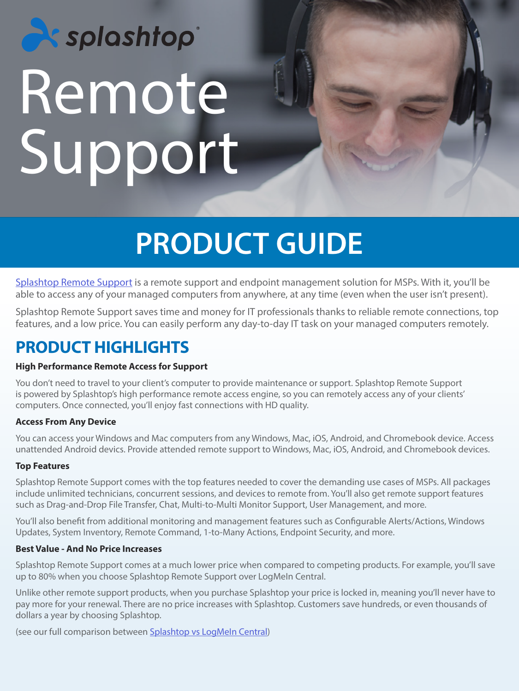# **Ex splashtop** Remote Support

## **PRODUCT GUIDE**

[Splashtop Remote Support](https://www.splashtop.com/remote-support) is a remote support and endpoint management solution for MSPs. With it, you'll be able to access any of your managed computers from anywhere, at any time (even when the user isn't present).

Splashtop Remote Support saves time and money for IT professionals thanks to reliable remote connections, top features, and a low price. You can easily perform any day-to-day IT task on your managed computers remotely.

## **PRODUCT HIGHLIGHTS**

## **High Performance Remote Access for Support**

You don't need to travel to your client's computer to provide maintenance or support. Splashtop Remote Support is powered by Splashtop's high performance remote access engine, so you can remotely access any of your clients' computers. Once connected, you'll enjoy fast connections with HD quality.

### **Access From Any Device**

You can access your Windows and Mac computers from any Windows, Mac, iOS, Android, and Chromebook device. Access unattended Android devics. Provide attended remote support to Windows, Mac, iOS, Android, and Chromebook devices.

### **Top Features**

Splashtop Remote Support comes with the top features needed to cover the demanding use cases of MSPs. All packages include unlimited technicians, concurrent sessions, and devices to remote from. You'll also get remote support features such as Drag-and-Drop File Transfer, Chat, Multi-to-Multi Monitor Support, User Management, and more.

You'll also benefit from additional monitoring and management features such as Configurable Alerts/Actions, Windows Updates, System Inventory, Remote Command, 1-to-Many Actions, Endpoint Security, and more.

#### **Best Value - And No Price Increases**

Splashtop Remote Support comes at a much lower price when compared to competing products. For example, you'll save up to 80% when you choose Splashtop Remote Support over LogMeIn Central.

Unlike other remote support products, when you purchase Splashtop your price is locked in, meaning you'll never have to pay more for your renewal. There are no price increases with Splashtop. Customers save hundreds, or even thousands of dollars a year by choosing Splashtop.

(see our full comparison between [Splashtop vs LogMeIn Central](https://www.splashtop.com/compare-logmein-central-alternative))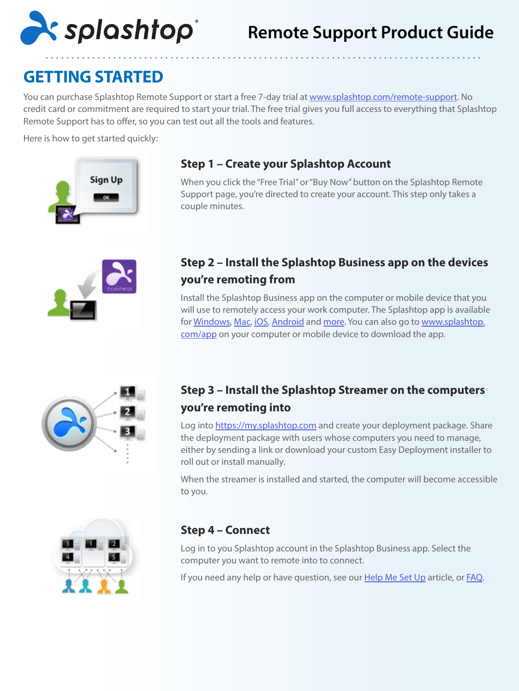

## **Remote Support Product Guide**

## **GETTING STARTED**

You can purchase Splashtop Remote Support or start a free 7-day trial at [www.splashtop.com/remote-support](http://www.splashtop.com/remote-support). No credit card or commitment are required to start your trial. The free trial gives you full access to everything that Splashtop Remote Support has to offer, so you can test out all the tools and features.

Here is how to get started quickly:



## **Step 1 – Create your Splashtop Account**

When you click the "Free Trial" or "Buy Now" button on the Splashtop Remote Support page, you're directed to create your account. This step only takes a couple minutes.



## **Step 2 – Install the Splashtop Business app on the devices you're remoting from**

Install the Splashtop Business app on the computer or mobile device that you will use to remotely access your work computer. The Splashtop app is available for [Windows,](https://www.splashtop.com/downloadstart?product=stb&platform=windows-client) [Mac,](https://www.splashtop.com/downloadstart?product=stb&platform=mac-client) [iOS,](https://itunes.apple.com/us/app/splashtop-business/id650739354) [Android](https://play.google.com/store/apps/details?id=com.splashtop.remote.business) and [more.](https://www.splashtop.com/downloads#rs) You can also go to [www.splashtop.](https://www.splashtop.com/downloadstart?product=stb&platform=auto) [com/app](https://www.splashtop.com/downloadstart?product=stb&platform=auto) on your computer or mobile device to download the app.



## **Step 3 – Install the Splashtop Streamer on the computers you're remoting into**

Log into [https://my.splashtop.com](https://my.splashtop.com/) and create your deployment package. Share the deployment package with users whose computers you need to manage, either by sending a link or download your custom Easy Deployment installer to roll out or install manually.

When the streamer is installed and started, the computer will become accessible to you.



## **Step 4 – Connect**

Log in to you Splashtop account in the Splashtop Business app. Select the computer you want to remote into to connect.

If you need any help or have question, see our [Help Me Set Up](https://support-splashtopbusiness.splashtop.com/hc/en-us/articles/360001988532-Help-Me-Set-Up) article, or [FAQ.](https://support-splashtopbusiness.splashtop.com/hc/en-us/categories/201530003-Frequently-Asked-Questions)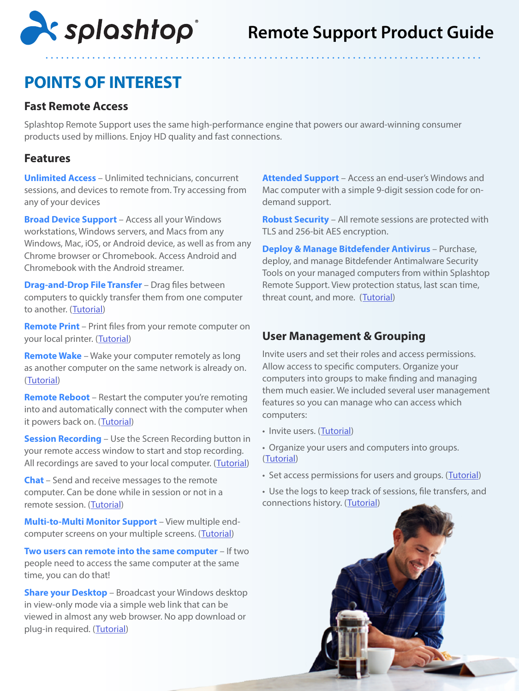

## **POINTS OF INTEREST**

## **Fast Remote Access**

Splashtop Remote Support uses the same high-performance engine that powers our award-winning consumer products used by millions. Enjoy HD quality and fast connections.

## **Features**

**Unlimited Access** – Unlimited technicians, concurrent sessions, and devices to remote from. Try accessing from any of your devices

**Broad Device Support** – Access all your Windows workstations, Windows servers, and Macs from any Windows, Mac, iOS, or Android device, as well as from any Chrome browser or Chromebook. Access Android and Chromebook with the Android streamer.

**Drag-and-Drop File Transfer** – Drag files between computers to quickly transfer them from one computer to another. ([Tutorial\)](https://support-splashtopbusiness.splashtop.com/hc/en-us/articles/212725323-FILE-TRANSFER)

**Remote Print** – Print files from your remote computer on your local printer. ([Tutorial\)](https://support-splashtopbusiness.splashtop.com/hc/en-us/articles/212725383-REMOTE-PRINT)

**Remote Wake** – Wake your computer remotely as long as another computer on the same network is already on. ([Tutorial](https://support-splashtopbusiness.splashtop.com/hc/en-us/articles/212724263-How-do-I-perform-Wake-on-LAN-with-Splashtop-app-WoL-))

**Remote Reboot** – Restart the computer you're remoting into and automatically connect with the computer when it powers back on. ([Tutorial\)](https://support-splashtopbusiness.splashtop.com/hc/en-us/articles/115000983226-REMOTE-REBOOT)

**Session Recording** – Use the Screen Recording button in your remote access window to start and stop recording. All recordings are saved to your local computer. ([Tutorial](https://support-splashtopbusiness.splashtop.com/hc/en-us/articles/360021851931-SESSION-RECORDING))

**Chat** – Send and receive messages to the remote computer. Can be done while in session or not in a remote session. ([Tutorial\)](https://support-splashtopbusiness.splashtop.com/hc/en-us/articles/212725483-CHAT)

**Multi-to-Multi Monitor Support** – View multiple end-computer screens on your multiple screens. ([Tutorial](https://support-splashtopbusiness.splashtop.com/hc/en-us/articles/360014465512-MULTI-MONITOR))

**Two users can remote into the same computer** – If two people need to access the same computer at the same time, you can do that!

**Share your Desktop** – Broadcast your Windows desktop in view-only mode via a simple web link that can be viewed in almost any web browser. No app download or plug-in required. ([Tutorial](https://support-splashtopbusiness.splashtop.com/hc/en-us/articles/115002370303-SHARE-MY-DESKTOP))

**Attended Support** – Access an end-user's Windows and Mac computer with a simple 9-digit session code for ondemand support.

**Robust Security** – All remote sessions are protected with TLS and 256-bit AES encryption.

**Deploy & Manage Bitdefender Antivirus** – Purchase, deploy, and manage Bitdefender Antimalware Security Tools on your managed computers from within Splashtop Remote Support. View protection status, last scan time, threat count, and more. ([Tutorial\)](https://support-splashtopbusiness.splashtop.com/hc/en-us/articles/360026148531-How-to-Set-Up-Bitdefender-Endpoint-Security-Tool-Antimalware)

## **User Management & Grouping**

Invite users and set their roles and access permissions. Allow access to specific computers. Organize your computers into groups to make finding and managing them much easier. We included several user management features so you can manage who can access which computers:

- Invite users. ([Tutorial\)](https://support-splashtopbusiness.splashtop.com/hc/en-us/articles/360000081366-How-to-add-invite-users-to-be-a-part-of-my-Splashtop-service-)
- Organize your users and computers into groups. ([Tutorial\)](https://support-splashtopbusiness.splashtop.com/hc/en-us/search/click?data=BAh7CjoHaWRpBHPurQw6CXR5cGVJIgxhcnRpY2xlBjoGRVQ6CHVybEkiAZRodHRwczovL3N1cHBvcnQtc3BsYXNodG9wYnVzaW5lc3Muc3BsYXNodG9wLmNvbS9oYy9lbi11cy9hcnRpY2xlcy8yMTI3MjUzNjMtSG93LWRvLUktZ3JvdXAtbXktdXNlcnMtYW5kLWNvbXB1dGVycy1TcGxhc2h0b3AtUmVtb3RlLVN1cHBvcnQtU09TLW9ubHktBjsHVDoOc2VhcmNoX2lkSSIpOWZjZTQxZjUtOGQwZC00MTg4LTk1YWMtMWUzNGFlNjY4MGI1BjsHRjoJcmFua2kH--e5382f8016a5c86315ca20b7360fc71916f8d7a0)
- Set access permissions for users and groups. ([Tutorial](https://support-splashtopbusiness.splashtop.com/hc/en-us/search/click?data=BAh7CjoHaWRsKwhfq57GGgA6CXR5cGVJIgxhcnRpY2xlBjoGRVQ6CHVybEkiAY5odHRwczovL3N1cHBvcnQtc3BsYXNodG9wYnVzaW5lc3Muc3BsYXNodG9wLmNvbS9oYy9lbi11cy9hcnRpY2xlcy8xMTUwMDE0MzcwMjMtSG93LXRvLXNldC1jb21wdXRlci1hY2Nlc3MtcGVybWlzc2lvbnMtUmVtb3RlLVN1cHBvcnQtU09TLW9ubHktBjsHVDoOc2VhcmNoX2lkSSIpOTdmOTUzMTgtMmE2My00YzI3LTlmZmMtNGFkZDMyYWVjM2Y4BjsHRjoJcmFua2kH--98981cb1f10e11b0010230b17a1296db45acd403))

• Use the logs to keep track of sessions, file transfers, and connections history. ([Tutorial](https://support-splashtopbusiness.splashtop.com/hc/en-us/articles/360001692992-LOGS))

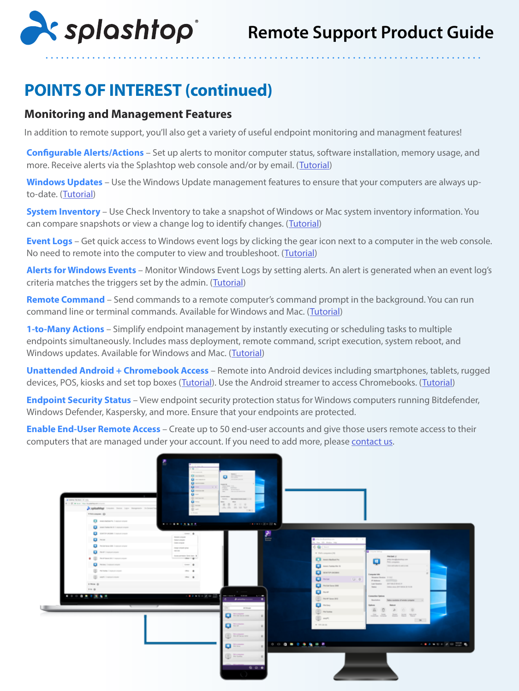

## **POINTS OF INTEREST (continued)**

## **Monitoring and Management Features**

In addition to remote support, you'll also get a variety of useful endpoint monitoring and managment features!

**Configurable Alerts/Actions** – Set up alerts to monitor computer status, software installation, memory usage, and more. Receive alerts via the Splashtop web console and/or by email. ([Tutorial\)](https://support-splashtopbusiness.splashtop.com/hc/en-us/articles/360001840851-How-to-Set-Up-Splashtop-Remote-Support-Premium-Alerts)

**Windows Updates** – Use the Windows Update management features to ensure that your computers are always upto-date. ([Tutorial\)](https://support-splashtopbusiness.splashtop.com/hc/en-us/articles/360001934871-How-to-Set-Up-Splashtop-Remote-Support-Premium-Updates)

**System Inventory** – Use Check Inventory to take a snapshot of Windows or Mac system inventory information. You can compare snapshots or view a change log to identify changes. ([Tutorial\)](https://support-splashtopbusiness.splashtop.com/hc/en-us/articles/360005183691-How-to-Set-Up-Splashtop-Remote-Support-Premium-System-Inventory)

**Event Logs** – Get quick access to Windows event logs by clicking the gear icon next to a computer in the web console. No need to remote into the computer to view and troubleshoot. ([Tutorial\)](https://support-splashtopbusiness.splashtop.com/hc/en-us/articles/360005128192-How-to-Set-Up-Splashtop-Remote-Support-Premium-Event-Logs)

**Alerts for Windows Events** – Monitor Windows Event Logs by setting alerts. An alert is generated when an event log's criteria matches the triggers set by the admin. ([Tutorial](https://support-splashtopbusiness.splashtop.com/hc/en-us/articles/360001840851-How-to-Set-Up-Splashtop-Remote-Support-Premium-Alerts))

**Remote Command** – Send commands to a remote computer's command prompt in the background. You can run command line or terminal commands. Available for Windows and Mac. ([Tutorial](https://support-splashtopbusiness.splashtop.com/hc/en-us/articles/360005129812-How-to-Set-Up-Splashtop-Remote-Support-Premium-Remote-Command))

**1-to-Many Actions** – Simplify endpoint management by instantly executing or scheduling tasks to multiple endpoints simultaneously. Includes mass deployment, remote command, script execution, system reboot, and Windows updates. Available for Windows and Mac. ([Tutorial\)](https://support-splashtopbusiness.splashtop.com/hc/en-us/articles/360037776552-How-to-Set-Up-Splashtop-Remote-Support-Premium-1-to-Many-Actions)

**Unattended Android + Chromebook Access** – Remote into Android devices including smartphones, tablets, rugged devices, POS, kiosks and set top boxes ([Tutorial\)](https://support-splashtopbusiness.splashtop.com/hc/en-us/articles/212723683-HOW-TO-REMOTELY-SUPPORT-CUSTOMERS-USING-SPLASHTOP). Use the Android streamer to access Chromebooks. (Tutorial)

**Endpoint Security Status** – View endpoint security protection status for Windows computers running Bitdefender, Windows Defender, Kaspersky, and more. Ensure that your endpoints are protected.

**Enable End-User Remote Access** – Create up to 50 end-user accounts and give those users remote access to their computers that are managed under your account. If you need to add more, please [contact us.](https://marketing.splashtop.com/acton/fs/blocks/showLandingPage/a/3744/p/p-00d2/t/page/fm/0?_ga=2.58250670.56986483.1614206707-2140588120.1583597443)